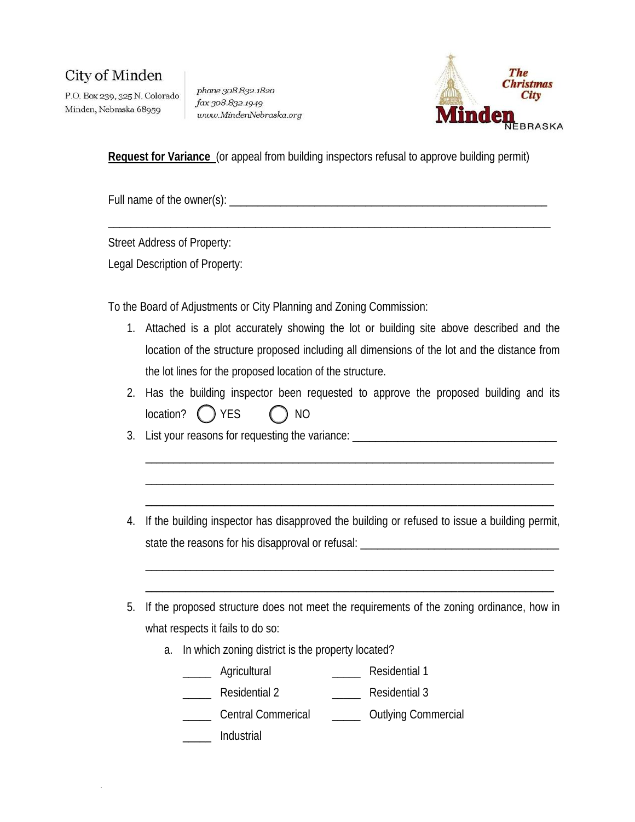P.O. Box 239, 325 N. Colorado Minden, Nebraska 68959

phone 308.832.1820 fax 308.832.1949 unvw.MindenNebraska.org



**Request for Variance** (or appeal from building inspectors refusal to approve building permit)

\_\_\_\_\_\_\_\_\_\_\_\_\_\_\_\_\_\_\_\_\_\_\_\_\_\_\_\_\_\_\_\_\_\_\_\_\_\_\_\_\_\_\_\_\_\_\_\_\_\_\_\_\_\_\_\_\_\_\_\_\_\_\_\_\_\_\_\_\_\_\_\_\_\_\_\_\_\_

Full name of the owner(s):  $\blacksquare$ 

Street Address of Property:

Legal Description of Property:

To the Board of Adjustments or City Planning and Zoning Commission:

- 1. Attached is a plot accurately showing the lot or building site above described and the location of the structure proposed including all dimensions of the lot and the distance from the lot lines for the proposed location of the structure.
- 2. Has the building inspector been requested to approve the proposed building and its location? ( ) YES ( ) NO

\_\_\_\_\_\_\_\_\_\_\_\_\_\_\_\_\_\_\_\_\_\_\_\_\_\_\_\_\_\_\_\_\_\_\_\_\_\_\_\_\_\_\_\_\_\_\_\_\_\_\_\_\_\_\_\_\_\_\_\_\_\_\_\_\_\_\_\_\_\_\_\_

\_\_\_\_\_\_\_\_\_\_\_\_\_\_\_\_\_\_\_\_\_\_\_\_\_\_\_\_\_\_\_\_\_\_\_\_\_\_\_\_\_\_\_\_\_\_\_\_\_\_\_\_\_\_\_\_\_\_\_\_\_\_\_\_\_\_\_\_\_\_\_\_

\_\_\_\_\_\_\_\_\_\_\_\_\_\_\_\_\_\_\_\_\_\_\_\_\_\_\_\_\_\_\_\_\_\_\_\_\_\_\_\_\_\_\_\_\_\_\_\_\_\_\_\_\_\_\_\_\_\_\_\_\_\_\_\_\_\_\_\_\_\_\_\_

\_\_\_\_\_\_\_\_\_\_\_\_\_\_\_\_\_\_\_\_\_\_\_\_\_\_\_\_\_\_\_\_\_\_\_\_\_\_\_\_\_\_\_\_\_\_\_\_\_\_\_\_\_\_\_\_\_\_\_\_\_\_\_\_\_\_\_\_\_\_\_\_

\_\_\_\_\_\_\_\_\_\_\_\_\_\_\_\_\_\_\_\_\_\_\_\_\_\_\_\_\_\_\_\_\_\_\_\_\_\_\_\_\_\_\_\_\_\_\_\_\_\_\_\_\_\_\_\_\_\_\_\_\_\_\_\_\_\_\_\_\_\_\_\_

3. List your reasons for requesting the variance:

- 4. If the building inspector has disapproved the building or refused to issue a building permit, state the reasons for his disapproval or refusal: \_\_\_\_\_\_\_\_\_\_\_\_\_\_\_\_\_\_\_\_\_\_\_\_\_\_\_\_\_\_
- 5. If the proposed structure does not meet the requirements of the zoning ordinance, how in what respects it fails to do so:
	- a. In which zoning district is the property located?

| Agricultural              | Residential 1              |
|---------------------------|----------------------------|
| Residential 2             | <b>Residential 3</b>       |
| <b>Central Commerical</b> | <b>Outlying Commercial</b> |
| Industrial                |                            |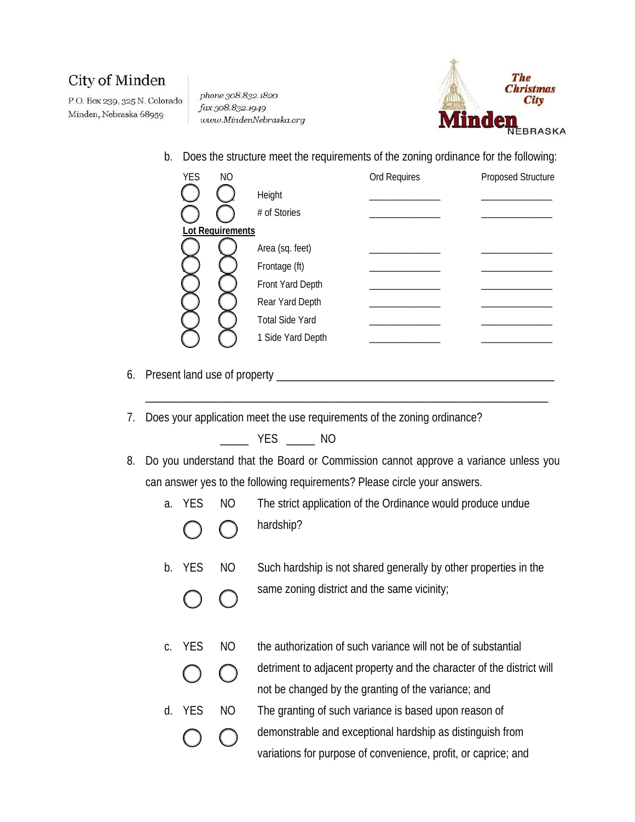P.O. Box 239, 325 N. Colorado Minden, Nebraska 68959

phone 308.832.1820 fax 308.832.1949 unvw.MindenNebraska.org



b. Does the structure meet the requirements of the zoning ordinance for the following:

| <b>YES</b> | <b>NO</b>               |                        | Ord Requires | Proposed Structure |
|------------|-------------------------|------------------------|--------------|--------------------|
|            |                         | Height                 |              |                    |
|            |                         | # of Stories           |              |                    |
|            | <b>Lot Requirements</b> |                        |              |                    |
|            |                         | Area (sq. feet)        |              |                    |
|            |                         | Frontage (ft)          |              |                    |
|            |                         | Front Yard Depth       |              |                    |
|            |                         | Rear Yard Depth        |              |                    |
|            |                         | <b>Total Side Yard</b> |              |                    |
|            |                         | 1 Side Yard Depth      |              |                    |

6. Present land use of property \_\_\_\_\_\_\_\_\_\_\_\_\_\_\_\_\_\_\_\_\_\_\_\_\_\_\_\_\_\_\_\_\_\_\_\_\_\_\_\_\_\_\_\_\_\_\_\_\_

- 7. Does your application meet the use requirements of the zoning ordinance?
	- \_\_\_\_\_ YES \_\_\_\_\_ NO
- 8. Do you understand that the Board or Commission cannot approve a variance unless you can answer yes to the following requirements? Please circle your answers.

\_\_\_\_\_\_\_\_\_\_\_\_\_\_\_\_\_\_\_\_\_\_\_\_\_\_\_\_\_\_\_\_\_\_\_\_\_\_\_\_\_\_\_\_\_\_\_\_\_\_\_\_\_\_\_\_\_\_\_\_\_\_\_\_\_\_\_\_\_\_\_

- a. YES NO The strict application of the Ordinance would produce undue hardship?
- b. YES NO Such hardship is not shared generally by other properties in the same zoning district and the same vicinity;
- c. YES NO the authorization of such variance will not be of substantial detriment to adjacent property and the character of the district will not be changed by the granting of the variance; and d. YES NO The granting of such variance is based upon reason of demonstrable and exceptional hardship as distinguish from variations for purpose of convenience, profit, or caprice; and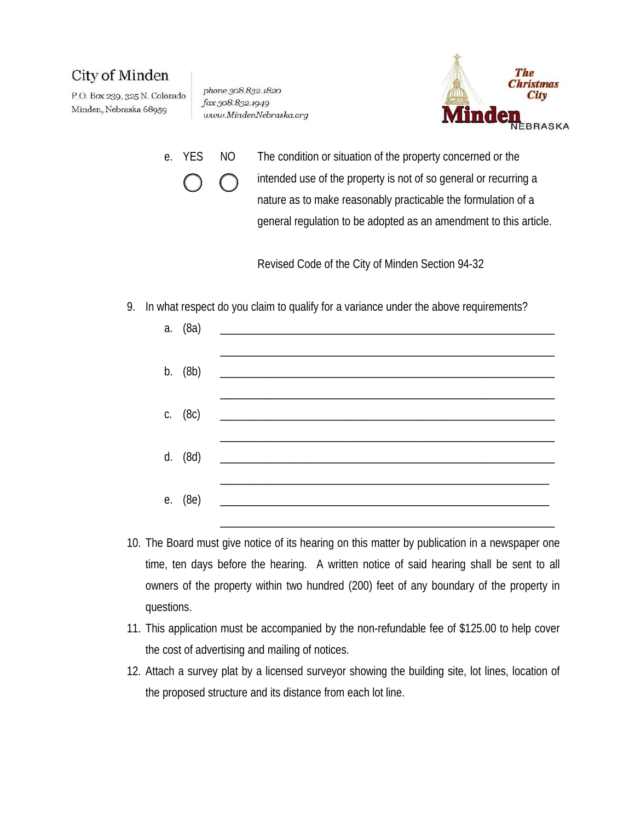P.O. Box 239, 325 N. Colorado Minden, Nebraska 68959

phone 308.832.1820 fax 308.832.1949 unvw.MindenNebraska.org



e. YES NO The condition or situation of the property concerned or the intended use of the property is not of so general or recurring a nature as to make reasonably practicable the formulation of a general regulation to be adopted as an amendment to this article.

Revised Code of the City of Minden Section 94-32

9. In what respect do you claim to qualify for a variance under the above requirements?



- 10. The Board must give notice of its hearing on this matter by publication in a newspaper one time, ten days before the hearing. A written notice of said hearing shall be sent to all owners of the property within two hundred (200) feet of any boundary of the property in questions.
- 11. This application must be accompanied by the non-refundable fee of \$125.00 to help cover the cost of advertising and mailing of notices.
- 12. Attach a survey plat by a licensed surveyor showing the building site, lot lines, location of the proposed structure and its distance from each lot line.